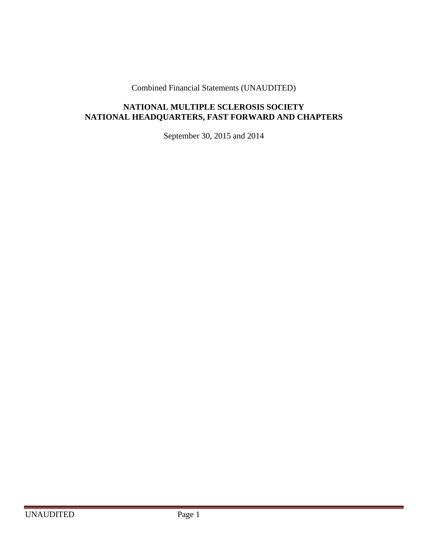Combined Financial Statements (UNAUDITED)

# **NATIONAL MULTIPLE SCLEROSIS SOCIETY NATIONAL HEADQUARTERS, FAST FORWARD AND CHAPTERS**

September 30, 2015 and 2014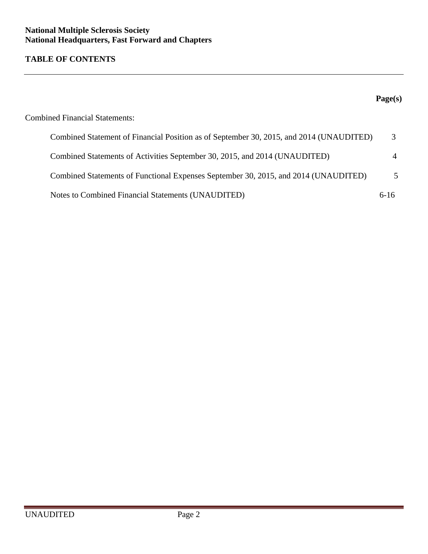# **TABLE OF CONTENTS**

|                                                                                         | Page(s) |
|-----------------------------------------------------------------------------------------|---------|
| <b>Combined Financial Statements:</b>                                                   |         |
| Combined Statement of Financial Position as of September 30, 2015, and 2014 (UNAUDITED) |         |
| Combined Statements of Activities September 30, 2015, and 2014 (UNAUDITED)              |         |
| Combined Statements of Functional Expenses September 30, 2015, and 2014 (UNAUDITED)     |         |
| Notes to Combined Financial Statements (UNAUDITED)                                      | $6-16$  |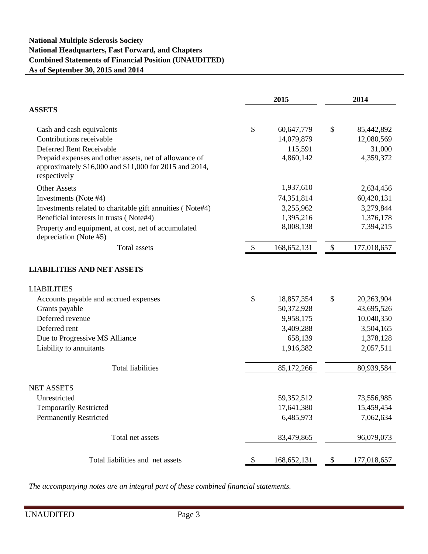## **National Multiple Sclerosis Society National Headquarters, Fast Forward, and Chapters Combined Statements of Financial Position (UNAUDITED) As of September 30, 2015 and 2014**

|                                                                                                                                  | 2015 |               | 2014                      |             |  |
|----------------------------------------------------------------------------------------------------------------------------------|------|---------------|---------------------------|-------------|--|
| <b>ASSETS</b>                                                                                                                    |      |               |                           |             |  |
| Cash and cash equivalents                                                                                                        | \$   | 60,647,779    | \$                        | 85,442,892  |  |
| Contributions receivable                                                                                                         |      | 14,079,879    |                           | 12,080,569  |  |
| Deferred Rent Receivable                                                                                                         |      | 115,591       |                           | 31,000      |  |
| Prepaid expenses and other assets, net of allowance of<br>approximately \$16,000 and \$11,000 for 2015 and 2014,<br>respectively |      | 4,860,142     |                           | 4,359,372   |  |
| <b>Other Assets</b>                                                                                                              |      | 1,937,610     |                           | 2,634,456   |  |
| Investments (Note #4)                                                                                                            |      | 74,351,814    |                           | 60,420,131  |  |
| Investments related to charitable gift annuities (Note#4)                                                                        |      | 3,255,962     |                           | 3,279,844   |  |
| Beneficial interests in trusts (Note#4)                                                                                          |      | 1,395,216     |                           | 1,376,178   |  |
| Property and equipment, at cost, net of accumulated<br>depreciation (Note #5)                                                    |      | 8,008,138     |                           | 7,394,215   |  |
| <b>Total assets</b>                                                                                                              | \$   | 168, 652, 131 | $\boldsymbol{\mathsf{S}}$ | 177,018,657 |  |
| <b>LIABILITIES AND NET ASSETS</b>                                                                                                |      |               |                           |             |  |
| <b>LIABILITIES</b>                                                                                                               |      |               |                           |             |  |
| Accounts payable and accrued expenses                                                                                            | \$   | 18,857,354    | \$                        | 20,263,904  |  |
| Grants payable                                                                                                                   |      | 50,372,928    |                           | 43,695,526  |  |
| Deferred revenue                                                                                                                 |      | 9,958,175     |                           | 10,040,350  |  |
| Deferred rent                                                                                                                    |      | 3,409,288     |                           | 3,504,165   |  |
| Due to Progressive MS Alliance                                                                                                   |      | 658,139       |                           | 1,378,128   |  |
| Liability to annuitants                                                                                                          |      | 1,916,382     |                           | 2,057,511   |  |
| <b>Total liabilities</b>                                                                                                         |      | 85,172,266    |                           | 80,939,584  |  |
| <b>NET ASSETS</b>                                                                                                                |      |               |                           |             |  |
| Unrestricted                                                                                                                     |      | 59, 352, 512  |                           | 73,556,985  |  |
| <b>Temporarily Restricted</b>                                                                                                    |      | 17,641,380    |                           | 15,459,454  |  |
| <b>Permanently Restricted</b>                                                                                                    |      | 6,485,973     |                           | 7,062,634   |  |
| Total net assets                                                                                                                 |      | 83,479,865    |                           | 96,079,073  |  |
| Total liabilities and net assets                                                                                                 | \$   | 168, 652, 131 | \$                        | 177,018,657 |  |

*The accompanying notes are an integral part of these combined financial statements.*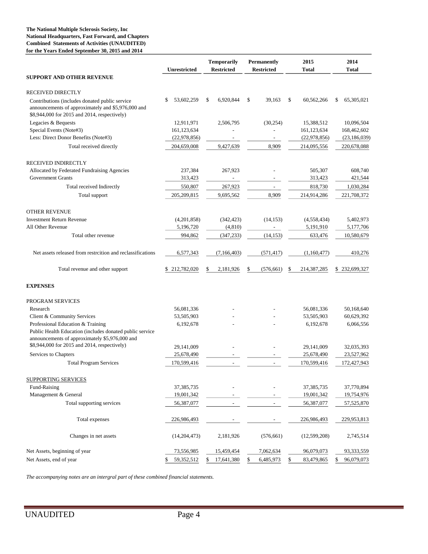#### **National Headquarters, Fast Forward, and Chapters The National Multiple Sclerosis Society, Inc Combined Statements of Activities (UNAUDITED) for the Years Ended September 30, 2015 and 2014**

|                                                                                                                                                      | <b>Unrestricted</b> |    | <b>Temporarily</b><br><b>Restricted</b> |    | <b>Permanently</b><br><b>Restricted</b> |    |              |                  | 2015<br><b>Total</b> | 2014<br><b>Total</b> |
|------------------------------------------------------------------------------------------------------------------------------------------------------|---------------------|----|-----------------------------------------|----|-----------------------------------------|----|--------------|------------------|----------------------|----------------------|
| <b>SUPPORT AND OTHER REVENUE</b>                                                                                                                     |                     |    |                                         |    |                                         |    |              |                  |                      |                      |
| <b>RECEIVED DIRECTLY</b>                                                                                                                             |                     |    |                                         |    |                                         |    |              |                  |                      |                      |
| Contributions (includes donated public service<br>announcements of approximately and \$5,976,000 and<br>\$8,944,000 for 2015 and 2014, respectively) | 53,602,259<br>S     | \$ | 6,920,844                               | \$ | 39,163                                  | \$ | 60,562,266   | \$<br>65,305,021 |                      |                      |
| Legacies & Bequests                                                                                                                                  | 12,911,971          |    | 2,506,795                               |    | (30, 254)                               |    | 15,388,512   | 10,096,504       |                      |                      |
| Special Events (Note#3)                                                                                                                              | 161,123,634         |    |                                         |    |                                         |    | 161,123,634  | 168,462,602      |                      |                      |
| Less: Direct Donor Benefits (Note#3)                                                                                                                 | (22, 978, 856)      |    | $\overline{\phantom{a}}$                |    | $\overline{\phantom{a}}$                |    | (22,978,856) | (23, 186, 039)   |                      |                      |
| Total received directly                                                                                                                              | 204,659,008         |    | 9,427,639                               |    | 8,909                                   |    | 214,095,556  | 220,678,088      |                      |                      |
| RECEIVED INDIRECTLY                                                                                                                                  |                     |    |                                         |    |                                         |    |              |                  |                      |                      |
| Allocated by Federated Fundraising Agencies                                                                                                          | 237,384             |    | 267,923                                 |    |                                         |    | 505,307      | 608,740          |                      |                      |
| <b>Government Grants</b>                                                                                                                             | 313,423             |    |                                         |    |                                         |    | 313,423      | 421,544          |                      |                      |
| Total received Indirectly                                                                                                                            | 550,807             |    | 267,923                                 |    |                                         |    | 818,730      | 1,030,284        |                      |                      |
| Total support                                                                                                                                        | 205, 209, 815       |    | 9,695,562                               |    | 8,909                                   |    | 214,914,286  | 221,708,372      |                      |                      |
| <b>OTHER REVENUE</b>                                                                                                                                 |                     |    |                                         |    |                                         |    |              |                  |                      |                      |
| <b>Investment Return Revenue</b>                                                                                                                     | (4,201,858)         |    | (342, 423)                              |    | (14, 153)                               |    | (4,558,434)  | 5,402,973        |                      |                      |
| All Other Revenue                                                                                                                                    | 5,196,720           |    | (4, 810)                                |    | $\overline{\phantom{a}}$                |    | 5,191,910    | 5,177,706        |                      |                      |
| Total other revenue                                                                                                                                  | 994,862             |    | (347, 233)                              |    | (14, 153)                               |    | 633,476      | 10,580,679       |                      |                      |
| Net assets released from restrcition and reclassifications                                                                                           | 6,577,343           |    | (7, 166, 403)                           |    | (571, 417)                              |    | (1,160,477)  | 410,276          |                      |                      |
| Total revenue and other support                                                                                                                      | \$212,782,020       | S  | 2,181,926                               | \$ | (576, 661)                              | S  | 214,387,285  | \$232,699,327    |                      |                      |
| <b>EXPENSES</b>                                                                                                                                      |                     |    |                                         |    |                                         |    |              |                  |                      |                      |
| PROGRAM SERVICES                                                                                                                                     |                     |    |                                         |    |                                         |    |              |                  |                      |                      |
| Research                                                                                                                                             | 56,081,336          |    |                                         |    |                                         |    | 56,081,336   | 50,168,640       |                      |                      |
| Client & Community Services                                                                                                                          | 53,505,903          |    |                                         |    |                                         |    | 53,505,903   | 60,629,392       |                      |                      |
| Professional Education & Training<br>Public Health Education (includes donated public service<br>announcements of approximately \$5,976,000 and      | 6,192,678           |    |                                         |    |                                         |    | 6,192,678    | 6,066,556        |                      |                      |
| \$8,944,000 for 2015 and 2014, respectively)                                                                                                         | 29,141,009          |    |                                         |    |                                         |    | 29,141,009   | 32,035,393       |                      |                      |
| Services to Chapters                                                                                                                                 | 25,678,490          |    |                                         |    |                                         |    | 25,678,490   | 23,527,962       |                      |                      |
| <b>Total Program Services</b>                                                                                                                        | 170,599,416         |    |                                         |    |                                         |    | 170,599,416  | 172,427,943      |                      |                      |
| <b>SUPPORTING SERVICES</b>                                                                                                                           |                     |    |                                         |    |                                         |    |              |                  |                      |                      |
| Fund-Raising                                                                                                                                         | 37, 385, 735        |    |                                         |    |                                         |    | 37,385,735   | 37,770,894       |                      |                      |
| Management & General                                                                                                                                 | 19,001,342          |    |                                         |    |                                         |    | 19,001,342   | 19,754,976       |                      |                      |
| Total supporting services                                                                                                                            | 56,387,077          |    |                                         |    | $\overline{\phantom{a}}$                |    | 56,387,077   | 57,525,870       |                      |                      |
| Total expenses                                                                                                                                       | 226,986,493         |    |                                         |    |                                         |    | 226,986,493  | 229,953,813      |                      |                      |
| Changes in net assets                                                                                                                                | (14,204,473)        |    | 2,181,926                               |    | (576, 661)                              |    | (12,599,208) | 2,745,514        |                      |                      |
| Net Assets, beginning of year                                                                                                                        | 73,556,985          |    | 15,459,454                              |    | 7,062,634                               |    | 96,079,073   | 93,333,559       |                      |                      |
| Net Assets, end of year                                                                                                                              | 59,352,512<br>\$    | \$ | 17,641,380                              | \$ | 6,485,973                               | \$ | 83,479,865   | \$<br>96,079,073 |                      |                      |

*The accompanying notes are an intergral part of these combined financial statements.*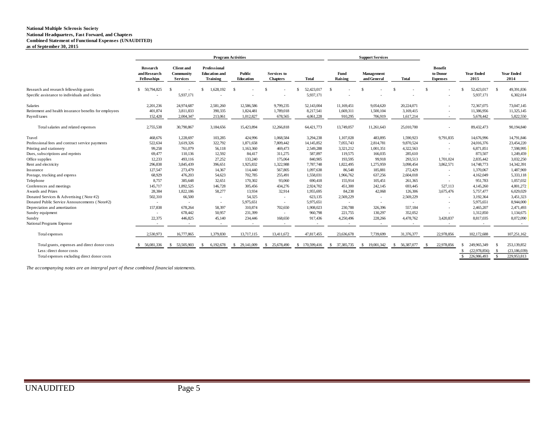#### **National Headquarters, Fast Forward, and Chapters National Multiple Sclerosis Society Combined Statement of Functional Expenses (UNAUDITED) as of September 30, 2015**

|                                                                                           | <b>Program Activities</b>                      |                                                   |                                                         |                            | <b>Support Services</b>               |                         |                    |                           |               |                                               |                              |                               |
|-------------------------------------------------------------------------------------------|------------------------------------------------|---------------------------------------------------|---------------------------------------------------------|----------------------------|---------------------------------------|-------------------------|--------------------|---------------------------|---------------|-----------------------------------------------|------------------------------|-------------------------------|
|                                                                                           | Research<br>and Research<br><b>Fellowships</b> | <b>Client</b> and<br>Community<br><b>Services</b> | Professional<br><b>Education</b> and<br><b>Training</b> | Public<br><b>Education</b> | <b>Services</b> to<br><b>Chapters</b> | <b>Total</b>            | Fund<br>Raising    | Management<br>and General | <b>Total</b>  | <b>Benefit</b><br>to Donor<br><b>Expenses</b> | <b>Year Ended</b><br>2015    | <b>Year Ended</b><br>2014     |
| Research and research fellowship grants<br>Specific assistance to individuals and clinics | \$ 50,794,825                                  | 5,937,171                                         | 1,628,192                                               | -S                         | S.                                    | 52,423,017<br>5,937,171 |                    |                           |               | Ŝ.                                            | 52,423,017<br>5,937,171      | 49,391,836<br>-S<br>6,302,014 |
| <b>Salaries</b>                                                                           | 2.201.236                                      | 24,974,687                                        | 2.581.260                                               | 12.586.586                 | 9,799,235                             | 52,143,004              | 11.169.451         | 9.054.620                 | 20,224,071    |                                               | 72,367,075                   | 73,047,145                    |
| Retirement and health insurance benefits for employees                                    | 401,874                                        | 3,811,833                                         | 390,335                                                 | 1,824,481                  | 1,789,018                             | 8,217,541               | 1,669,311          | 1,500,104                 | 3,169,415     | $\sim$                                        | 11,386,956                   | 11,325,145                    |
| Payroll taxes                                                                             | 152,428                                        | 2,004,347                                         | 213,061                                                 | 1,012,827                  | 678,565                               | 4,061,228               | 910,295            | 706,919                   | 1,617,214     | $\sim$                                        | 5,678,442                    | 5,822,550                     |
| Total salaries and related expenses                                                       | 2,755,538                                      | 30,790,867                                        | 3,184,656                                               | 15,423,894                 | 12,266,818                            | 64,421,773              | 13,749,057         | 11,261,643                | 25,010,700    |                                               | 89,432,473                   | 90,194,840                    |
| Travel                                                                                    | 468,676                                        | 1,228,697                                         | 103,285                                                 | 424,996                    | 1,068,584                             | 3,294,238               | 1,107,028          | 483,895                   | 1,590,923     | 9,791,835                                     | 14,676,996                   | 14,791,846                    |
| Professional fees and contract service payments                                           | 522,634                                        | 3,619,326                                         | 322,792                                                 | 1,871,658                  | 7,809,442                             | 14, 145, 852            | 7,055,743          | 2,814,781                 | 9,870,524     | $\sim$                                        | 24,016,376                   | 23,454,220                    |
| Printing and stationery                                                                   | 99,258                                         | 761,079                                           | 56,118                                                  | 1,163,360                  | 469,473                               | 2,549,288               | 3,321,212          | 1,001,351                 | 4,322,563     |                                               | 6,871,851                    | 7,598,995                     |
| Dues, subscriptions and reprints                                                          | 69,477                                         | 110,136                                           | 12.592                                                  | 84,417                     | 311,275                               | 587,897                 | 119.575            | 166,035                   | 285,610       | $\sim$                                        | 873,507                      | 1,249,459                     |
| Office supplies                                                                           | 12,233                                         | 493,116                                           | 27,252                                                  | 133,240                    | 175,064                               | 840,905                 | 193,595            | 99,918                    | 293,513       | 1,701,024                                     | 2,835,442                    | 3,032,250                     |
| Rent and electricity                                                                      | 296,838                                        | 3,845,439                                         | 396,651                                                 | 1,925,832                  | 1,322,988                             | 7,787,748               | 1,822,495          | 1,275,959                 | 3,098,454     | 3,862,571                                     | 14,748,773                   | 14,342,391                    |
| Insurance                                                                                 | 127,547                                        | 273,479                                           | 14.367                                                  | 114,440                    | 567,805                               | 1.097.638               | 86,548             | 185,881                   | 272,429       | $\sim$                                        | 1.370,067                    | 1,487,969                     |
| Postage, trucking and express                                                             | 68,929                                         | 476,203                                           | 54,623                                                  | 702,785                    | 255,491                               | 1,558,031               | 1,966,762          | 637,256                   | 2,604,018     | $\sim$                                        | 4,162,049                    | 5,333,118                     |
| Telephone                                                                                 | 8,757                                          | 385,648                                           | 32.651                                                  | 170,302                    | 93,060                                | 690,418                 | 155,914            | 105.451                   | 261,365       | $\sim$                                        | 951,783                      | 1,057,032                     |
| Conferences and meetings                                                                  | 145,717                                        | 1,892,525                                         | 146,728                                                 | 305,456                    | 434,276                               | 2,924,702               | 451,300            | 242,145                   | 693,445       | 527,113                                       | 4,145,260                    | 4,801,272                     |
| Awards and Prizes                                                                         | 28,384                                         | 1,822,186                                         | 58,277                                                  | 13,934                     | 32,914                                | 1,955,695               | 84,238             | 42,068                    | 126,306       | 3,675,476                                     | 5,757,477                    | 6,029,029                     |
| Donated Services & Advertising (Note #2)                                                  | 502,310                                        | 66,500                                            | $\sim$                                                  | 54,325                     | $\sim$                                | 623,135                 | 2,569,229          | $\sim$                    | 2,569,229     | $\sim$                                        | 3,192,364                    | 3,451,323                     |
| Donated Public Service Announcements (Note#2)                                             | $\sim$                                         | $\sim$                                            | $\sim$                                                  | 5,975,651                  | $\sim$                                | 5,975,651               | $\sim$             | $\sim$                    | $\sim$        |                                               | 5,975,651                    | 8,944,000                     |
| Depreciation and amortization                                                             | 157,838                                        | 678,264                                           | 58,397                                                  | 310,874                    | 702,650                               | 1,908,023               | 230,788            | 326,396                   | 557,184       |                                               | 2,465,207                    | 2,471,493                     |
| Sundry equipment                                                                          | $\sim$                                         | 678,442                                           | 50,957                                                  | 231,399                    | $\sim$                                | 960,798                 | 221,755            | 130,297                   | 352,052       | $\sim$                                        | 1,312,850                    | 1,134,675                     |
| Sundry                                                                                    | 22,375                                         | 446,825                                           | 45,140                                                  | 234,446                    | 168,650                               | 917,436                 | 4,250,496          | 228,266                   | 4,478,762     | 3,420,837                                     | 8,817,035                    | 8,072,090                     |
| National Programs Expense                                                                 |                                                | $\sim$                                            |                                                         |                            | $\overline{\phantom{a}}$              |                         |                    |                           |               |                                               |                              |                               |
| Total expenses                                                                            | 2,530,973                                      | 16,777,865                                        | 1,379,830                                               | 13,717,115                 | 13,411,672                            | 47,817,455              | 23,636,678         | 7,739,699                 | 31,376,377    | 22,978,856                                    | 102,172,688                  | 107,251,162                   |
| Total grants, expenses and direct donor costs                                             | \$ 56,081,336                                  | 53,505,903<br>S.                                  | 6,192,678<br>-S                                         | \$29,141,009               | 25,678,490<br>S.                      | \$170,599,416           | 37, 385, 735<br>-S | 19,001,342<br>S.          | \$ 56,387,077 | 22,978,856<br>-\$                             | 249,965,349                  | 253,139,852                   |
| Less: direct donor costs                                                                  |                                                |                                                   |                                                         |                            |                                       |                         |                    |                           |               |                                               | (22, 978, 856)               | (23, 186, 039)                |
| Total expenses excluding direct donor costs                                               |                                                |                                                   |                                                         |                            |                                       |                         |                    |                           |               |                                               | 226,986,493<br><sup>\$</sup> | $\mathbf{s}$<br>229,953,813   |

*The accompanying notes are an intergral part of these combined financial statements.*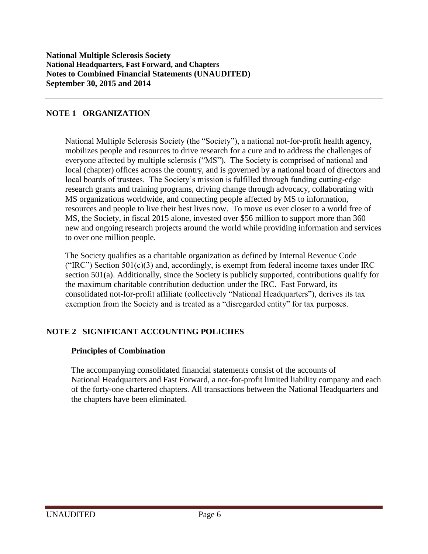## **NOTE 1 ORGANIZATION**

National Multiple Sclerosis Society (the "Society"), a national not-for-profit health agency, mobilizes people and resources to drive research for a cure and to address the challenges of everyone affected by multiple sclerosis ("MS"). The Society is comprised of national and local (chapter) offices across the country, and is governed by a national board of directors and local boards of trustees. The Society's mission is fulfilled through funding cutting-edge research grants and training programs, driving change through advocacy, collaborating with MS organizations worldwide, and connecting people affected by MS to information, resources and people to live their best lives now. To move us ever closer to a world free of MS, the Society, in fiscal 2015 alone, invested over \$56 million to support more than 360 new and ongoing research projects around the world while providing information and services to over one million people.

The Society qualifies as a charitable organization as defined by Internal Revenue Code ("IRC") Section  $501(c)(3)$  and, accordingly, is exempt from federal income taxes under IRC section 501(a). Additionally, since the Society is publicly supported, contributions qualify for the maximum charitable contribution deduction under the IRC. Fast Forward, its consolidated not-for-profit affiliate (collectively "National Headquarters"), derives its tax exemption from the Society and is treated as a "disregarded entity" for tax purposes.

# **NOTE 2 SIGNIFICANT ACCOUNTING POLICIIES**

#### **Principles of Combination**

The accompanying consolidated financial statements consist of the accounts of National Headquarters and Fast Forward, a not-for-profit limited liability company and each of the forty-one chartered chapters. All transactions between the National Headquarters and the chapters have been eliminated.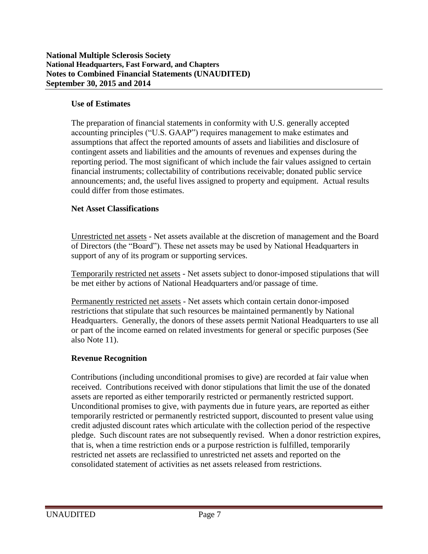## **Use of Estimates**

The preparation of financial statements in conformity with U.S. generally accepted accounting principles ("U.S. GAAP") requires management to make estimates and assumptions that affect the reported amounts of assets and liabilities and disclosure of contingent assets and liabilities and the amounts of revenues and expenses during the reporting period. The most significant of which include the fair values assigned to certain financial instruments; collectability of contributions receivable; donated public service announcements; and, the useful lives assigned to property and equipment. Actual results could differ from those estimates.

## **Net Asset Classifications**

Unrestricted net assets - Net assets available at the discretion of management and the Board of Directors (the "Board"). These net assets may be used by National Headquarters in support of any of its program or supporting services.

Temporarily restricted net assets - Net assets subject to donor-imposed stipulations that will be met either by actions of National Headquarters and/or passage of time.

Permanently restricted net assets - Net assets which contain certain donor-imposed restrictions that stipulate that such resources be maintained permanently by National Headquarters. Generally, the donors of these assets permit National Headquarters to use all or part of the income earned on related investments for general or specific purposes (See also Note 11).

## **Revenue Recognition**

Contributions (including unconditional promises to give) are recorded at fair value when received. Contributions received with donor stipulations that limit the use of the donated assets are reported as either temporarily restricted or permanently restricted support. Unconditional promises to give, with payments due in future years, are reported as either temporarily restricted or permanently restricted support, discounted to present value using credit adjusted discount rates which articulate with the collection period of the respective pledge. Such discount rates are not subsequently revised. When a donor restriction expires, that is, when a time restriction ends or a purpose restriction is fulfilled, temporarily restricted net assets are reclassified to unrestricted net assets and reported on the consolidated statement of activities as net assets released from restrictions.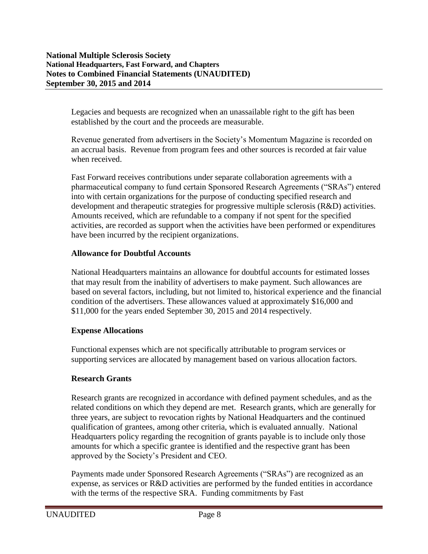Legacies and bequests are recognized when an unassailable right to the gift has been established by the court and the proceeds are measurable.

Revenue generated from advertisers in the Society's Momentum Magazine is recorded on an accrual basis. Revenue from program fees and other sources is recorded at fair value when received.

Fast Forward receives contributions under separate collaboration agreements with a pharmaceutical company to fund certain Sponsored Research Agreements ("SRAs") entered into with certain organizations for the purpose of conducting specified research and development and therapeutic strategies for progressive multiple sclerosis (R&D) activities. Amounts received, which are refundable to a company if not spent for the specified activities, are recorded as support when the activities have been performed or expenditures have been incurred by the recipient organizations.

## **Allowance for Doubtful Accounts**

National Headquarters maintains an allowance for doubtful accounts for estimated losses that may result from the inability of advertisers to make payment. Such allowances are based on several factors, including, but not limited to, historical experience and the financial condition of the advertisers. These allowances valued at approximately \$16,000 and \$11,000 for the years ended September 30, 2015 and 2014 respectively.

## **Expense Allocations**

Functional expenses which are not specifically attributable to program services or supporting services are allocated by management based on various allocation factors.

## **Research Grants**

Research grants are recognized in accordance with defined payment schedules, and as the related conditions on which they depend are met. Research grants, which are generally for three years, are subject to revocation rights by National Headquarters and the continued qualification of grantees, among other criteria, which is evaluated annually. National Headquarters policy regarding the recognition of grants payable is to include only those amounts for which a specific grantee is identified and the respective grant has been approved by the Society's President and CEO.

Payments made under Sponsored Research Agreements ("SRAs") are recognized as an expense, as services or R&D activities are performed by the funded entities in accordance with the terms of the respective SRA. Funding commitments by Fast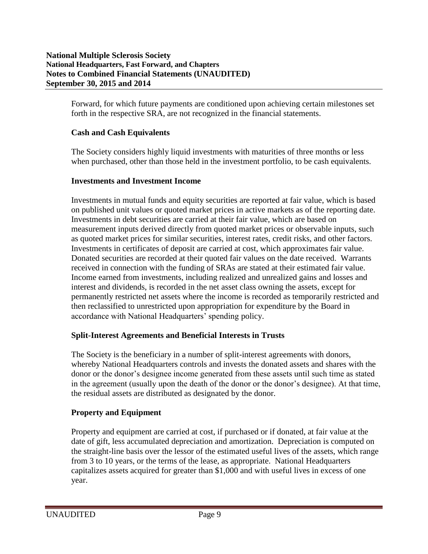Forward, for which future payments are conditioned upon achieving certain milestones set forth in the respective SRA, are not recognized in the financial statements.

# **Cash and Cash Equivalents**

The Society considers highly liquid investments with maturities of three months or less when purchased, other than those held in the investment portfolio, to be cash equivalents.

## **Investments and Investment Income**

Investments in mutual funds and equity securities are reported at fair value, which is based on published unit values or quoted market prices in active markets as of the reporting date. Investments in debt securities are carried at their fair value, which are based on measurement inputs derived directly from quoted market prices or observable inputs, such as quoted market prices for similar securities, interest rates, credit risks, and other factors. Investments in certificates of deposit are carried at cost, which approximates fair value. Donated securities are recorded at their quoted fair values on the date received. Warrants received in connection with the funding of SRAs are stated at their estimated fair value. Income earned from investments, including realized and unrealized gains and losses and interest and dividends, is recorded in the net asset class owning the assets, except for permanently restricted net assets where the income is recorded as temporarily restricted and then reclassified to unrestricted upon appropriation for expenditure by the Board in accordance with National Headquarters' spending policy.

## **Split-Interest Agreements and Beneficial Interests in Trusts**

The Society is the beneficiary in a number of split-interest agreements with donors, whereby National Headquarters controls and invests the donated assets and shares with the donor or the donor's designee income generated from these assets until such time as stated in the agreement (usually upon the death of the donor or the donor's designee). At that time, the residual assets are distributed as designated by the donor.

## **Property and Equipment**

Property and equipment are carried at cost, if purchased or if donated, at fair value at the date of gift, less accumulated depreciation and amortization. Depreciation is computed on the straight-line basis over the lessor of the estimated useful lives of the assets, which range from 3 to 10 years, or the terms of the lease, as appropriate. National Headquarters capitalizes assets acquired for greater than \$1,000 and with useful lives in excess of one year.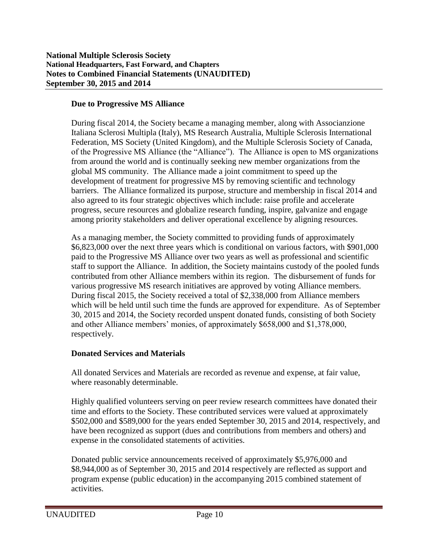## **Due to Progressive MS Alliance**

During fiscal 2014, the Society became a managing member, along with Associanzione Italiana Sclerosi Multipla (Italy), MS Research Australia, Multiple Sclerosis International Federation, MS Society (United Kingdom), and the Multiple Sclerosis Society of Canada, of the Progressive MS Alliance (the "Alliance"). The Alliance is open to MS organizations from around the world and is continually seeking new member organizations from the global MS community. The Alliance made a joint commitment to speed up the development of treatment for progressive MS by removing scientific and technology barriers. The Alliance formalized its purpose, structure and membership in fiscal 2014 and also agreed to its four strategic objectives which include: raise profile and accelerate progress, secure resources and globalize research funding, inspire, galvanize and engage among priority stakeholders and deliver operational excellence by aligning resources.

As a managing member, the Society committed to providing funds of approximately \$6,823,000 over the next three years which is conditional on various factors, with \$901,000 paid to the Progressive MS Alliance over two years as well as professional and scientific staff to support the Alliance. In addition, the Society maintains custody of the pooled funds contributed from other Alliance members within its region. The disbursement of funds for various progressive MS research initiatives are approved by voting Alliance members. During fiscal 2015, the Society received a total of \$2,338,000 from Alliance members which will be held until such time the funds are approved for expenditure. As of September 30, 2015 and 2014, the Society recorded unspent donated funds, consisting of both Society and other Alliance members' monies, of approximately \$658,000 and \$1,378,000, respectively.

## **Donated Services and Materials**

All donated Services and Materials are recorded as revenue and expense, at fair value, where reasonably determinable.

Highly qualified volunteers serving on peer review research committees have donated their time and efforts to the Society. These contributed services were valued at approximately \$502,000 and \$589,000 for the years ended September 30, 2015 and 2014, respectively, and have been recognized as support (dues and contributions from members and others) and expense in the consolidated statements of activities.

Donated public service announcements received of approximately \$5,976,000 and \$8,944,000 as of September 30, 2015 and 2014 respectively are reflected as support and program expense (public education) in the accompanying 2015 combined statement of activities.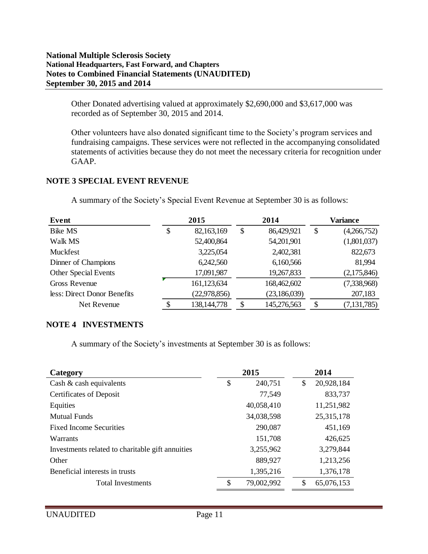#### **National Multiple Sclerosis Society National Headquarters, Fast Forward, and Chapters Notes to Combined Financial Statements (UNAUDITED) September 30, 2015 and 2014**

Other Donated advertising valued at approximately \$2,690,000 and \$3,617,000 was recorded as of September 30, 2015 and 2014.

Other volunteers have also donated significant time to the Society's program services and fundraising campaigns. These services were not reflected in the accompanying consolidated statements of activities because they do not meet the necessary criteria for recognition under GAAP.

# **NOTE 3 SPECIAL EVENT REVENUE**

| Event                       | 2015             |    | 2014           |                           | Variance      |
|-----------------------------|------------------|----|----------------|---------------------------|---------------|
| <b>Bike MS</b>              | \$<br>82,163,169 | \$ | 86,429,921     | $\boldsymbol{\mathsf{S}}$ | (4,266,752)   |
| Walk MS                     | 52,400,864       |    | 54,201,901     |                           | (1,801,037)   |
| Muckfest                    | 3,225,054        |    | 2,402,381      |                           | 822,673       |
| Dinner of Champions         | 6,242,560        |    | 6,160,566      |                           | 81,994        |
| <b>Other Special Events</b> | 17,091,987       |    | 19,267,833     |                           | (2,175,846)   |
| Gross Revenue               | 161,123,634      |    | 168,462,602    |                           | (7,338,968)   |
| less: Direct Donor Benefits | (22, 978, 856)   |    | (23, 186, 039) |                           | 207,183       |
| Net Revenue                 | 138, 144, 778    | S  | 145,276,563    | \$                        | (7, 131, 785) |

A summary of the Society's Special Event Revenue at September 30 is as follows:

# **NOTE 4 INVESTMENTS**

A summary of the Society's investments at September 30 is as follows:

| Category                                         | 2015             | 2014             |
|--------------------------------------------------|------------------|------------------|
| Cash $\&$ cash equivalents                       | \$<br>240,751    | 20,928,184<br>\$ |
| <b>Certificates of Deposit</b>                   | 77,549           | 833,737          |
| Equities                                         | 40,058,410       | 11,251,982       |
| Mutual Funds                                     | 34,038,598       | 25, 315, 178     |
| <b>Fixed Income Securities</b>                   | 290,087          | 451,169          |
| Warrants                                         | 151,708          | 426,625          |
| Investments related to charitable gift annuities | 3,255,962        | 3,279,844        |
| Other                                            | 889,927          | 1,213,256        |
| Beneficial interests in trusts                   | 1,395,216        | 1,376,178        |
| <b>Total Investments</b>                         | \$<br>79,002,992 | \$<br>65,076,153 |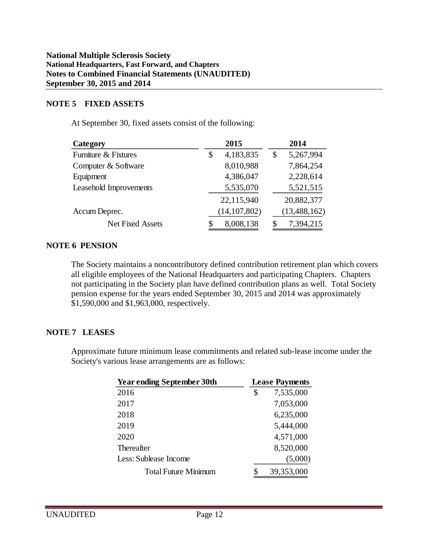#### **NOTE 5 FIXED ASSETS**

At September 30, fixed assets consist of the following:

| Category                | 2015            | 2014            |
|-------------------------|-----------------|-----------------|
| Furniture & Fixtures    | 4,183,835<br>\$ | 5,267,994<br>\$ |
| Computer & Software     | 8,010,988       | 7,864,254       |
| Equipment               | 4,386,047       | 2,228,614       |
| Leasehold Improvements  | 5,535,070       | 5,521,515       |
|                         | 22,115,940      | 20,882,377      |
| Accum Deprec.           | (14, 107, 802)  | (13, 488, 162)  |
| <b>Net Fixed Assets</b> | 8,008,138<br>\$ | 7,394,215<br>\$ |

#### **NOTE 6 PENSION**

The Society maintains a noncontributory defined contribution retirement plan which covers all eligible employees of the National Headquarters and participating Chapters. Chapters not participating in the Society plan have defined contribution plans as well. Total Society pension expense for the years ended September 30, 2015 and 2014 was approximately \$1,590,000 and \$1,963,000, respectively.

## **NOTE 7 LEASES**

Approximate future minimum lease commitments and related sub-lease income under the Society's various lease arrangements are as follows:

| <b>Year ending September 30th</b> | <b>Lease Payments</b> |
|-----------------------------------|-----------------------|
| 2016                              | \$<br>7,535,000       |
| 2017                              | 7,053,000             |
| 2018                              | 6,235,000             |
| 2019                              | 5,444,000             |
| 2020                              | 4,571,000             |
| <b>Thereafter</b>                 | 8,520,000             |
| Less: Sublease Income             | (5,000)               |
| <b>Total Future Minimum</b>       | 39,353,000            |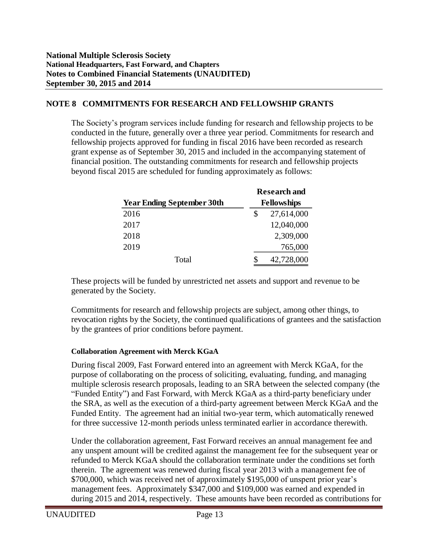# **NOTE 8 COMMITMENTS FOR RESEARCH AND FELLOWSHIP GRANTS**

The Society's program services include funding for research and fellowship projects to be conducted in the future, generally over a three year period. Commitments for research and fellowship projects approved for funding in fiscal 2016 have been recorded as research grant expense as of September 30, 2015 and included in the accompanying statement of financial position. The outstanding commitments for research and fellowship projects beyond fiscal 2015 are scheduled for funding approximately as follows:

|                                   |    | <b>Research and</b> |  |  |  |  |  |
|-----------------------------------|----|---------------------|--|--|--|--|--|
| <b>Year Ending September 30th</b> |    | <b>Fellowships</b>  |  |  |  |  |  |
| 2016                              | \$ | 27,614,000          |  |  |  |  |  |
| 2017                              |    | 12,040,000          |  |  |  |  |  |
| 2018                              |    | 2,309,000           |  |  |  |  |  |
| 2019                              |    | 765,000             |  |  |  |  |  |
| Total                             | S  | 42,728,000          |  |  |  |  |  |

These projects will be funded by unrestricted net assets and support and revenue to be generated by the Society.

Commitments for research and fellowship projects are subject, among other things, to revocation rights by the Society, the continued qualifications of grantees and the satisfaction by the grantees of prior conditions before payment.

#### **Collaboration Agreement with Merck KGaA**

During fiscal 2009, Fast Forward entered into an agreement with Merck KGaA, for the purpose of collaborating on the process of soliciting, evaluating, funding, and managing multiple sclerosis research proposals, leading to an SRA between the selected company (the "Funded Entity") and Fast Forward, with Merck KGaA as a third-party beneficiary under the SRA, as well as the execution of a third-party agreement between Merck KGaA and the Funded Entity. The agreement had an initial two-year term, which automatically renewed for three successive 12-month periods unless terminated earlier in accordance therewith.

Under the collaboration agreement, Fast Forward receives an annual management fee and any unspent amount will be credited against the management fee for the subsequent year or refunded to Merck KGaA should the collaboration terminate under the conditions set forth therein. The agreement was renewed during fiscal year 2013 with a management fee of \$700,000, which was received net of approximately \$195,000 of unspent prior year's management fees. Approximately \$347,000 and \$109,000 was earned and expended in during 2015 and 2014, respectively. These amounts have been recorded as contributions for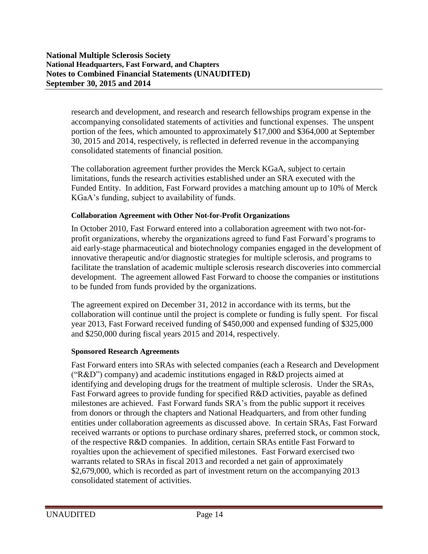research and development, and research and research fellowships program expense in the accompanying consolidated statements of activities and functional expenses. The unspent portion of the fees, which amounted to approximately \$17,000 and \$364,000 at September 30, 2015 and 2014, respectively, is reflected in deferred revenue in the accompanying consolidated statements of financial position.

The collaboration agreement further provides the Merck KGaA, subject to certain limitations, funds the research activities established under an SRA executed with the Funded Entity. In addition, Fast Forward provides a matching amount up to 10% of Merck KGaA's funding, subject to availability of funds.

#### **Collaboration Agreement with Other Not-for-Profit Organizations**

In October 2010, Fast Forward entered into a collaboration agreement with two not-forprofit organizations, whereby the organizations agreed to fund Fast Forward's programs to aid early-stage pharmaceutical and biotechnology companies engaged in the development of innovative therapeutic and/or diagnostic strategies for multiple sclerosis, and programs to facilitate the translation of academic multiple sclerosis research discoveries into commercial development. The agreement allowed Fast Forward to choose the companies or institutions to be funded from funds provided by the organizations.

The agreement expired on December 31, 2012 in accordance with its terms, but the collaboration will continue until the project is complete or funding is fully spent. For fiscal year 2013, Fast Forward received funding of \$450,000 and expensed funding of \$325,000 and \$250,000 during fiscal years 2015 and 2014, respectively.

#### **Sponsored Research Agreements**

Fast Forward enters into SRAs with selected companies (each a Research and Development ("R&D") company) and academic institutions engaged in R&D projects aimed at identifying and developing drugs for the treatment of multiple sclerosis. Under the SRAs, Fast Forward agrees to provide funding for specified R&D activities, payable as defined milestones are achieved. Fast Forward funds SRA's from the public support it receives from donors or through the chapters and National Headquarters, and from other funding entities under collaboration agreements as discussed above. In certain SRAs, Fast Forward received warrants or options to purchase ordinary shares, preferred stock, or common stock, of the respective R&D companies. In addition, certain SRAs entitle Fast Forward to royalties upon the achievement of specified milestones. Fast Forward exercised two warrants related to SRAs in fiscal 2013 and recorded a net gain of approximately \$2,679,000, which is recorded as part of investment return on the accompanying 2013 consolidated statement of activities.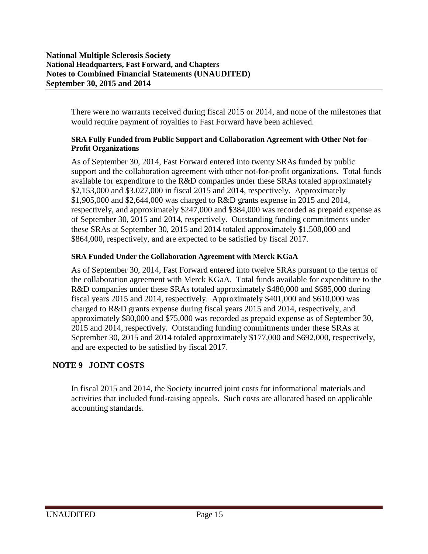There were no warrants received during fiscal 2015 or 2014, and none of the milestones that would require payment of royalties to Fast Forward have been achieved.

#### **SRA Fully Funded from Public Support and Collaboration Agreement with Other Not-for-Profit Organizations**

As of September 30, 2014, Fast Forward entered into twenty SRAs funded by public support and the collaboration agreement with other not-for-profit organizations. Total funds available for expenditure to the R&D companies under these SRAs totaled approximately \$2,153,000 and \$3,027,000 in fiscal 2015 and 2014, respectively. Approximately \$1,905,000 and \$2,644,000 was charged to R&D grants expense in 2015 and 2014, respectively, and approximately \$247,000 and \$384,000 was recorded as prepaid expense as of September 30, 2015 and 2014, respectively. Outstanding funding commitments under these SRAs at September 30, 2015 and 2014 totaled approximately \$1,508,000 and \$864,000, respectively, and are expected to be satisfied by fiscal 2017.

## **SRA Funded Under the Collaboration Agreement with Merck KGaA**

As of September 30, 2014, Fast Forward entered into twelve SRAs pursuant to the terms of the collaboration agreement with Merck KGaA. Total funds available for expenditure to the R&D companies under these SRAs totaled approximately \$480,000 and \$685,000 during fiscal years 2015 and 2014, respectively. Approximately \$401,000 and \$610,000 was charged to R&D grants expense during fiscal years 2015 and 2014, respectively, and approximately \$80,000 and \$75,000 was recorded as prepaid expense as of September 30, 2015 and 2014, respectively. Outstanding funding commitments under these SRAs at September 30, 2015 and 2014 totaled approximately \$177,000 and \$692,000, respectively, and are expected to be satisfied by fiscal 2017.

# **NOTE 9 JOINT COSTS**

In fiscal 2015 and 2014, the Society incurred joint costs for informational materials and activities that included fund-raising appeals. Such costs are allocated based on applicable accounting standards.